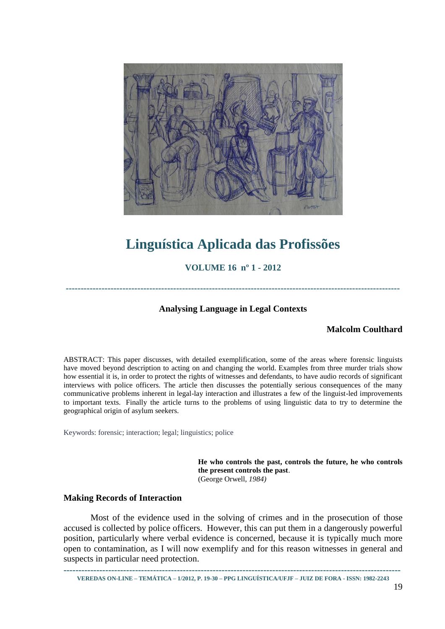

# **Linguística Aplicada das Profissões**

## **VOLUME 16 nº 1 - 2012**

**----------------------------------------------------------------------------------------------------------------**

## **Analysing Language in Legal Contexts**

## **Malcolm Coulthard**

ABSTRACT: This paper discusses, with detailed exemplification, some of the areas where forensic linguists have moved beyond description to acting on and changing the world. Examples from three murder trials show how essential it is, in order to protect the rights of witnesses and defendants, to have audio records of significant interviews with police officers. The article then discusses the potentially serious consequences of the many communicative problems inherent in legal-lay interaction and illustrates a few of the linguist-led improvements to important texts. Finally the article turns to the problems of using linguistic data to try to determine the geographical origin of asylum seekers.

Keywords: forensic; interaction; legal; linguistics; police

**He who [controls](http://www.everything2.com/index.pl?node=controls) the [past,](http://www.everything2.com/index.pl?node=past) controls the [future,](http://www.everything2.com/index.pl?node=future) he who controls the present controls the past**. (George Orwell, *1984)*

#### **Making Records of Interaction**

Most of the evidence used in the solving of crimes and in the prosecution of those accused is collected by police officers. However, this can put them in a dangerously powerful position, particularly where verbal evidence is concerned, because it is typically much more open to contamination, as I will now exemplify and for this reason witnesses in general and suspects in particular need protection.

**-----------------------------------------------------------------------------------------------------------------**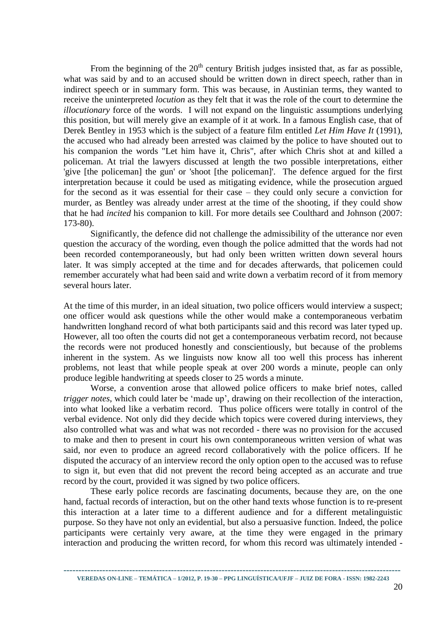From the beginning of the  $20<sup>th</sup>$  century British judges insisted that, as far as possible, what was said by and to an accused should be written down in direct speech, rather than in indirect speech or in summary form. This was because, in Austinian terms, they wanted to receive the uninterpreted *locution* as they felt that it was the role of the court to determine the *illocutionary* force of the words. I will not expand on the linguistic assumptions underlying this position, but will merely give an example of it at work. In a famous English case, that of Derek Bentley in 1953 which is the subject of a feature film entitled *Let Him Have It* (1991), the accused who had already been arrested was claimed by the police to have shouted out to his companion the words "Let him have it, Chris", after which Chris shot at and killed a policeman. At trial the lawyers discussed at length the two possible interpretations, either 'give [the policeman] the gun' or 'shoot [the policeman]'. The defence argued for the first interpretation because it could be used as mitigating evidence, while the prosecution argued for the second as it was essential for their case – they could only secure a conviction for murder, as Bentley was already under arrest at the time of the shooting, if they could show that he had *incited* his companion to kill. For more details see Coulthard and Johnson (2007: 173-80).

Significantly, the defence did not challenge the admissibility of the utterance nor even question the accuracy of the wording, even though the police admitted that the words had not been recorded contemporaneously, but had only been written written down several hours later. It was simply accepted at the time and for decades afterwards, that policemen could remember accurately what had been said and write down a verbatim record of it from memory several hours later.

At the time of this murder, in an ideal situation, two police officers would interview a suspect; one officer would ask questions while the other would make a contemporaneous verbatim handwritten longhand record of what both participants said and this record was later typed up. However, all too often the courts did not get a contemporaneous verbatim record, not because the records were not produced honestly and conscientiously, but because of the problems inherent in the system. As we linguists now know all too well this process has inherent problems, not least that while people speak at over 200 words a minute, people can only produce legible handwriting at speeds closer to 25 words a minute.

Worse, a convention arose that allowed police officers to make brief notes, called *trigger notes*, which could later be 'made up', drawing on their recollection of the interaction, into what looked like a verbatim record. Thus police officers were totally in control of the verbal evidence. Not only did they decide which topics were covered during interviews, they also controlled what was and what was not recorded - there was no provision for the accused to make and then to present in court his own contemporaneous written version of what was said, nor even to produce an agreed record collaboratively with the police officers. If he disputed the accuracy of an interview record the only option open to the accused was to refuse to sign it, but even that did not prevent the record being accepted as an accurate and true record by the court, provided it was signed by two police officers.

These early police records are fascinating documents, because they are, on the one hand, factual records of interaction, but on the other hand texts whose function is to re-present this interaction at a later time to a different audience and for a different metalinguistic purpose. So they have not only an evidential, but also a persuasive function. Indeed, the police participants were certainly very aware, at the time they were engaged in the primary interaction and producing the written record, for whom this record was ultimately intended -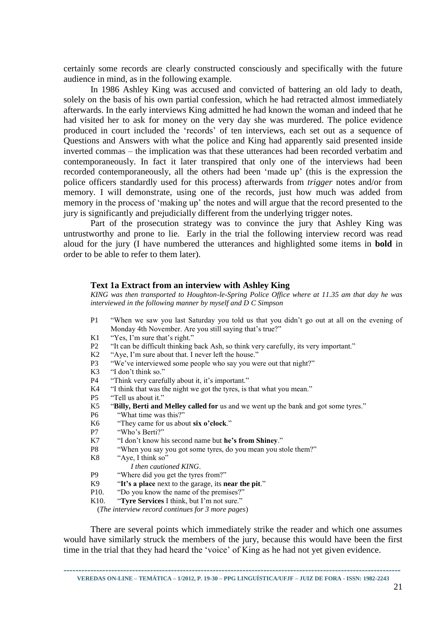certainly some records are clearly constructed consciously and specifically with the future audience in mind, as in the following example.

In 1986 Ashley King was accused and convicted of battering an old lady to death, solely on the basis of his own partial confession, which he had retracted almost immediately afterwards. In the early interviews King admitted he had known the woman and indeed that he had visited her to ask for money on the very day she was murdered. The police evidence produced in court included the 'records' of ten interviews, each set out as a sequence of Questions and Answers with what the police and King had apparently said presented inside inverted commas – the implication was that these utterances had been recorded verbatim and contemporaneously. In fact it later transpired that only one of the interviews had been recorded contemporaneously, all the others had been 'made up' (this is the expression the police officers standardly used for this process) afterwards from *trigger* notes and/or from memory. I will demonstrate, using one of the records, just how much was added from memory in the process of 'making up' the notes and will argue that the record presented to the jury is significantly and prejudicially different from the underlying trigger notes.

Part of the prosecution strategy was to convince the jury that Ashley King was untrustworthy and prone to lie. Early in the trial the following interview record was read aloud for the jury (I have numbered the utterances and highlighted some items in **bold** in order to be able to refer to them later).

#### **Text 1a Extract from an interview with Ashley King**

*KING was then transported to Houghton-le-Spring Police Office where at 11.35 am that day he was interviewed in the following manner by myself and D C Simpson*

- P1 "When we saw you last Saturday you told us that you didn't go out at all on the evening of Monday 4th November. Are you still saying that's true?"
- K1 "Yes, I'm sure that's right."
- P2 "It can be difficult thinking back Ash, so think very carefully, its very important."
- K2 "Aye, I'm sure about that. I never left the house."
- P3 "We've interviewed some people who say you were out that night?"
- K3 "I don't think so."
- P4 "Think very carefully about it, it's important."
- K4 "I think that was the night we got the tyres, is that what you mean."
- P5 "Tell us about it."
- K5 "**Billy, Berti and Melley called for** us and we went up the bank and got some tyres."
- P6 "What time was this?"
- K6 "They came for us about **six o'clock**."
- P7 "Who's Berti?"
- K7 "I don't know his second name but **he's from Shiney**."
- P8 "When you say you got some tyres, do you mean you stole them?"
- K8 "Aye, I think so" *I then cautioned KING*.
- P9 "Where did you get the tyres from?"
- K9 "**It's a place** next to the garage, its **near the pit**."
- P10. "Do you know the name of the premises?"
- K10. "**Tyre Services** I think, but I'm not sure."

(*The interview record continues for 3 more pages*)

There are several points which immediately strike the reader and which one assumes would have similarly struck the members of the jury, because this would have been the first time in the trial that they had heard the 'voice' of King as he had not yet given evidence.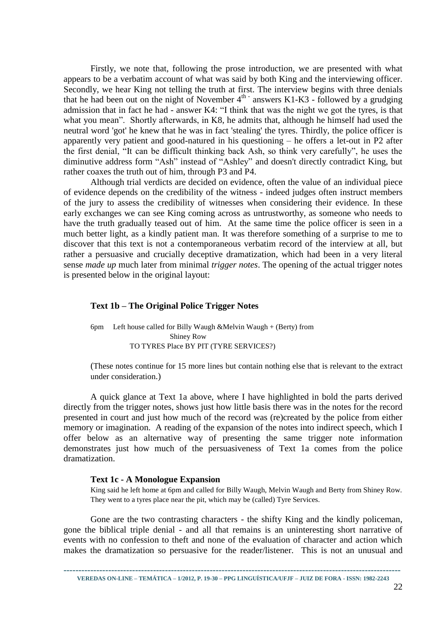Firstly, we note that, following the prose introduction, we are presented with what appears to be a verbatim account of what was said by both King and the interviewing officer. Secondly, we hear King not telling the truth at first. The interview begins with three denials that he had been out on the night of November  $4<sup>th</sup>$  answers K1-K3 - followed by a grudging admission that in fact he had - answer K4: "I think that was the night we got the tyres, is that what you mean". Shortly afterwards, in K8, he admits that, although he himself had used the neutral word 'got' he knew that he was in fact 'stealing' the tyres. Thirdly, the police officer is apparently very patient and good-natured in his questioning – he offers a let-out in P2 after the first denial, "It can be difficult thinking back Ash, so think very carefully", he uses the diminutive address form "Ash" instead of "Ashley" and doesn't directly contradict King, but rather coaxes the truth out of him, through P3 and P4.

Although trial verdicts are decided on evidence, often the value of an individual piece of evidence depends on the credibility of the witness - indeed judges often instruct members of the jury to assess the credibility of witnesses when considering their evidence. In these early exchanges we can see King coming across as untrustworthy, as someone who needs to have the truth gradually teased out of him. At the same time the police officer is seen in a much better light, as a kindly patient man. It was therefore something of a surprise to me to discover that this text is not a contemporaneous verbatim record of the interview at all, but rather a persuasive and crucially deceptive dramatization, which had been in a very literal sense *made up* much later from minimal *trigger notes*. The opening of the actual trigger notes is presented below in the original layout:

## **Text 1b – The Original Police Trigger Notes**

6pm Left house called for Billy Waugh &Melvin Waugh  $+$  (Berty) from Shiney Row TO TYRES Place BY PIT (TYRE SERVICES?)

(These notes continue for 15 more lines but contain nothing else that is relevant to the extract under consideration.)

A quick glance at Text 1a above, where I have highlighted in bold the parts derived directly from the trigger notes, shows just how little basis there was in the notes for the record presented in court and just how much of the record was (re)created by the police from either memory or imagination. A reading of the expansion of the notes into indirect speech, which I offer below as an alternative way of presenting the same trigger note information demonstrates just how much of the persuasiveness of Text 1a comes from the police dramatization.

## **Text 1c - A Monologue Expansion**

King said he left home at 6pm and called for Billy Waugh, Melvin Waugh and Berty from Shiney Row. They went to a tyres place near the pit, which may be (called) Tyre Services.

Gone are the two contrasting characters - the shifty King and the kindly policeman, gone the biblical triple denial - and all that remains is an uninteresting short narrative of events with no confession to theft and none of the evaluation of character and action which makes the dramatization so persuasive for the reader/listener. This is not an unusual and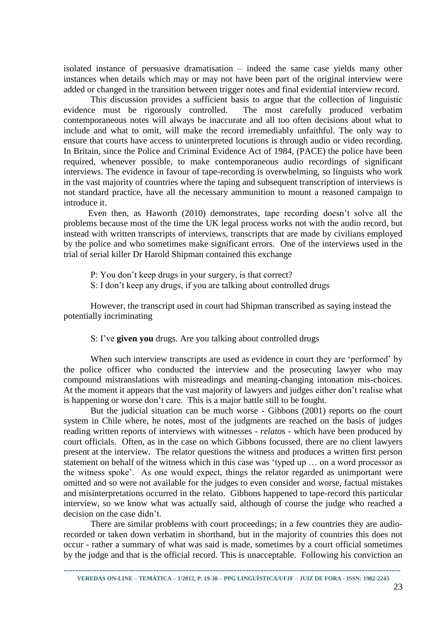isolated instance of persuasive dramatisation – indeed the same case yields many other instances when details which may or may not have been part of the original interview were added or changed in the transition between trigger notes and final evidential interview record.

This discussion provides a sufficient basis to argue that the collection of linguistic evidence must be rigorously controlled. The most carefully produced verbatim contemporaneous notes will always be inaccurate and all too often decisions about what to include and what to omit, will make the record irremediably unfaithful. The only way to ensure that courts have access to uninterpreted locutions is through audio or video recording. In Britain, since the Police and Criminal Evidence Act of 1984, (PACE) the police have been required, whenever possible, to make contemporaneous audio recordings of significant interviews. The evidence in favour of tape-recording is overwhelming, so linguists who work in the vast majority of countries where the taping and subsequent transcription of interviews is not standard practice, have all the necessary ammunition to mount a reasoned campaign to introduce it.

 Even then, as Haworth (2010) demonstrates, tape recording doesn't solve all the problems because most of the time the UK legal process works not with the audio record, but instead with written transcripts of interviews, transcripts that are made by civilians employed by the police and who sometimes make significant errors. One of the interviews used in the trial of serial killer Dr Harold Shipman contained this exchange

P: You don't keep drugs in your surgery, is that correct?

S: I don't keep any drugs, if you are talking about controlled drugs

However, the transcript used in court had Shipman transcribed as saying instead the potentially incriminating

S: I've **given you** drugs. Are you talking about controlled drugs

When such interview transcripts are used as evidence in court they are 'performed' by the police officer who conducted the interview and the prosecuting lawyer who may compound mistranslations with misreadings and meaning-changing intonation mis-choices. At the moment it appears that the vast majority of lawyers and judges either don't realise what is happening or worse don't care. This is a major battle still to be fought.

But the judicial situation can be much worse - Gibbons (2001) reports on the court system in Chile where, he notes, most of the judgments are reached on the basis of judges reading written reports of interviews with witnesses - *relato*s - which have been produced by court officials. Often, as in the case on which Gibbons focussed, there are no client lawyers present at the interview. The relator questions the witness and produces a written first person statement on behalf of the witness which in this case was 'typed up … on a word processor as the witness spoke'. As one would expect, things the relator regarded as unimportant were omitted and so were not available for the judges to even consider and worse, factual mistakes and misinterpretations occurred in the relato. Gibbons happened to tape-record this particular interview, so we know what was actually said, although of course the judge who reached a decision on the case didn't.

There are similar problems with court proceedings; in a few countries they are audiorecorded or taken down verbatim in shorthand, but in the majority of countries this does not occur - rather a summary of what was said is made, sometimes by a court official sometimes by the judge and that is the official record. This is unacceptable. Following his conviction an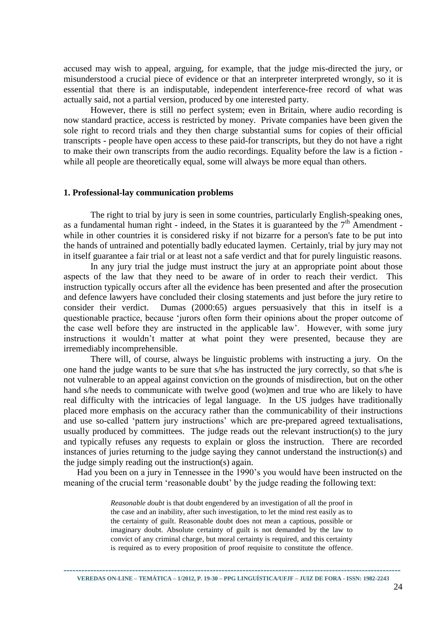accused may wish to appeal, arguing, for example, that the judge mis-directed the jury, or misunderstood a crucial piece of evidence or that an interpreter interpreted wrongly, so it is essential that there is an indisputable, independent interference-free record of what was actually said, not a partial version, produced by one interested party.

However, there is still no perfect system; even in Britain, where audio recording is now standard practice, access is restricted by money. Private companies have been given the sole right to record trials and they then charge substantial sums for copies of their official transcripts - people have open access to these paid-for transcripts, but they do not have a right to make their own transcripts from the audio recordings. Equality before the law is a fiction while all people are theoretically equal, some will always be more equal than others.

### **1. Professional-lay communication problems**

The right to trial by jury is seen in some countries, particularly English-speaking ones, as a fundamental human right - indeed, in the States it is guaranteed by the  $7<sup>th</sup>$  Amendment while in other countries it is considered risky if not bizarre for a person's fate to be put into the hands of untrained and potentially badly educated laymen. Certainly, trial by jury may not in itself guarantee a fair trial or at least not a safe verdict and that for purely linguistic reasons.

In any jury trial the judge must instruct the jury at an appropriate point about those aspects of the law that they need to be aware of in order to reach their verdict. This instruction typically occurs after all the evidence has been presented and after the prosecution and defence lawyers have concluded their closing statements and just before the jury retire to consider their verdict. Dumas (2000:65) argues persuasively that this in itself is a questionable practice, because 'jurors often form their opinions about the proper outcome of the case well before they are instructed in the applicable law'. However, with some jury instructions it wouldn't matter at what point they were presented, because they are irremediably incomprehensible.

There will, of course, always be linguistic problems with instructing a jury. On the one hand the judge wants to be sure that s/he has instructed the jury correctly, so that s/he is not vulnerable to an appeal against conviction on the grounds of misdirection, but on the other hand s/he needs to communicate with twelve good (wo)men and true who are likely to have real difficulty with the intricacies of legal language. In the US judges have traditionally placed more emphasis on the accuracy rather than the communicability of their instructions and use so-called 'pattern jury instructions' which are pre-prepared agreed textualisations, usually produced by committees. The judge reads out the relevant instruction(s) to the jury and typically refuses any requests to explain or gloss the instruction. There are recorded instances of juries returning to the judge saying they cannot understand the instruction(s) and the judge simply reading out the instruction(s) again.

Had you been on a jury in Tennessee in the 1990's you would have been instructed on the meaning of the crucial term 'reasonable doubt' by the judge reading the following text:

> *Reasonable doubt* is that doubt engendered by an investigation of all the proof in the case and an inability, after such investigation, to let the mind rest easily as to the certainty of guilt. Reasonable doubt does not mean a captious, possible or imaginary doubt. Absolute certainty of guilt is not demanded by the law to convict of any criminal charge, but moral certainty is required, and this certainty is required as to every proposition of proof requisite to constitute the offence.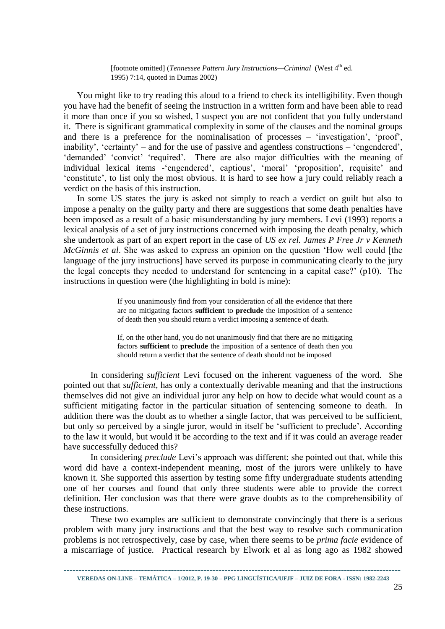[footnote omitted] (*Tennessee Pattern Jury Instructions—Criminal* (West 4<sup>th</sup> ed. 1995) 7:14, quoted in Dumas 2002)

You might like to try reading this aloud to a friend to check its intelligibility. Even though you have had the benefit of seeing the instruction in a written form and have been able to read it more than once if you so wished, I suspect you are not confident that you fully understand it. There is significant grammatical complexity in some of the clauses and the nominal groups and there is a preference for the nominalisation of processes – 'investigation', 'proof', inability', 'certainty' – and for the use of passive and agentless constructions – 'engendered', 'demanded' 'convict' 'required'. There are also major difficulties with the meaning of individual lexical items -'engendered', captious', 'moral' 'proposition', requisite' and 'constitute', to list only the most obvious. It is hard to see how a jury could reliably reach a verdict on the basis of this instruction.

In some US states the jury is asked not simply to reach a verdict on guilt but also to impose a penalty on the guilty party and there are suggestions that some death penalties have been imposed as a result of a basic misunderstanding by jury members. Levi (1993) reports a lexical analysis of a set of jury instructions concerned with imposing the death penalty, which she undertook as part of an expert report in the case of *US ex rel. James P Free Jr v Kenneth McGinnis et al*. She was asked to express an opinion on the question 'How well could [the language of the jury instructions] have served its purpose in communicating clearly to the jury the legal concepts they needed to understand for sentencing in a capital case?' (p10). The instructions in question were (the highlighting in bold is mine):

> If you unanimously find from your consideration of all the evidence that there are no mitigating factors **sufficient** to **preclude** the imposition of a sentence of death then you should return a verdict imposing a sentence of death.

> If, on the other hand, you do not unanimously find that there are no mitigating factors **sufficient** to **preclude** the imposition of a sentence of death then you should return a verdict that the sentence of death should not be imposed

In considering *sufficient* Levi focused on the inherent vagueness of the word. She pointed out that *sufficient*, has only a contextually derivable meaning and that the instructions themselves did not give an individual juror any help on how to decide what would count as a sufficient mitigating factor in the particular situation of sentencing someone to death. In addition there was the doubt as to whether a single factor, that was perceived to be sufficient, but only so perceived by a single juror, would in itself be 'sufficient to preclude'. According to the law it would, but would it be according to the text and if it was could an average reader have successfully deduced this?

In considering *preclude* Levi's approach was different; she pointed out that, while this word did have a context-independent meaning, most of the jurors were unlikely to have known it. She supported this assertion by testing some fifty undergraduate students attending one of her courses and found that only three students were able to provide the correct definition. Her conclusion was that there were grave doubts as to the comprehensibility of these instructions.

These two examples are sufficient to demonstrate convincingly that there is a serious problem with many jury instructions and that the best way to resolve such communication problems is not retrospectively, case by case, when there seems to be *prima facie* evidence of a miscarriage of justice. Practical research by Elwork et al as long ago as 1982 showed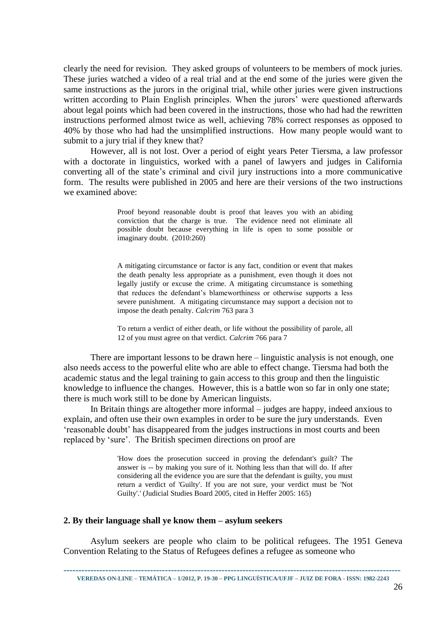clearly the need for revision. They asked groups of volunteers to be members of mock juries. These juries watched a video of a real trial and at the end some of the juries were given the same instructions as the jurors in the original trial, while other juries were given instructions written according to Plain English principles. When the jurors' were questioned afterwards about legal points which had been covered in the instructions, those who had had the rewritten instructions performed almost twice as well, achieving 78% correct responses as opposed to 40% by those who had had the unsimplified instructions. How many people would want to submit to a jury trial if they knew that?

However, all is not lost. Over a period of eight years Peter Tiersma, a law professor with a doctorate in linguistics, worked with a panel of lawyers and judges in California converting all of the state's criminal and civil jury instructions into a more communicative form. The results were published in 2005 and here are their versions of the two instructions we examined above:

> Proof beyond reasonable doubt is proof that leaves you with an abiding conviction that the charge is true. The evidence need not eliminate all possible doubt because everything in life is open to some possible or imaginary doubt. (2010:260)

> A mitigating circumstance or factor is any fact, condition or event that makes the death penalty less appropriate as a punishment, even though it does not legally justify or excuse the crime. A mitigating circumstance is something that reduces the defendant's blameworthiness or otherwise supports a less severe punishment. A mitigating circumstance may support a decision not to impose the death penalty. *Calcrim* 763 para 3

> To return a verdict of either death, or life without the possibility of parole, all 12 of you must agree on that verdict. *Calcrim* 766 para 7

There are important lessons to be drawn here – linguistic analysis is not enough, one also needs access to the powerful elite who are able to effect change. Tiersma had both the academic status and the legal training to gain access to this group and then the linguistic knowledge to influence the changes. However, this is a battle won so far in only one state; there is much work still to be done by American linguists.

In Britain things are altogether more informal – judges are happy, indeed anxious to explain, and often use their own examples in order to be sure the jury understands. Even 'reasonable doubt' has disappeared from the judges instructions in most courts and been replaced by 'sure'. The British specimen directions on proof are

> 'How does the prosecution succeed in proving the defendant's guilt? The answer is -- by making you sure of it. Nothing less than that will do. If after considering all the evidence you are sure that the defendant is guilty, you must return a verdict of 'Guilty'. If you are not sure, your verdict must be 'Not Guilty'.' (Judicial Studies Board 2005, cited in Heffer 2005: 165)

## **2. By their language shall ye know them – asylum seekers**

Asylum seekers are people who claim to be political refugees. The 1951 Geneva Convention Relating to the Status of Refugees defines a refugee as someone who

**----------------------------------------------------------------------------------------------------------------- VEREDAS ON-LINE – TEMÁTICA – 1/2012, P. 19-30 – PPG LINGUÍSTICA/UFJF – JUIZ DE FORA - ISSN: 1982-2243**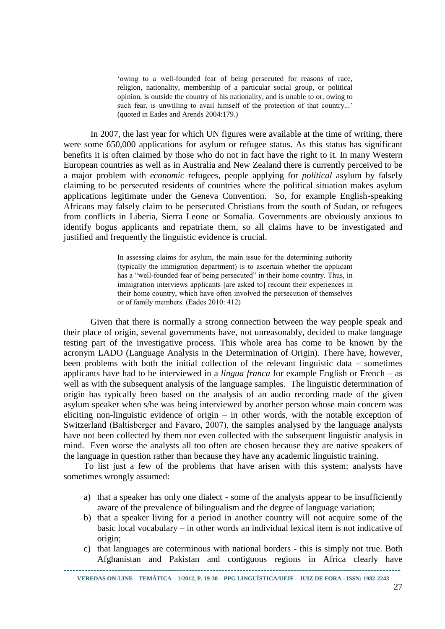'owing to a well-founded fear of being persecuted for reasons of race, religion, nationality, membership of a particular social group, or political opinion, is outside the country of his nationality, and is unable to or, owing to such fear, is unwilling to avail himself of the protection of that country...' (quoted in Eades and Arends 2004:179.)

In 2007, the last year for which UN figures were available at the time of writing, there were some 650,000 applications for asylum or refugee status. As this status has significant benefits it is often claimed by those who do not in fact have the right to it. In many Western European countries as well as in Australia and New Zealand there is currently perceived to be a major problem with *economic* refugees, people applying for *political* asylum by falsely claiming to be persecuted residents of countries where the political situation makes asylum applications legitimate under the Geneva Convention. So, for example English-speaking Africans may falsely claim to be persecuted Christians from the south of Sudan, or refugees from conflicts in Liberia, Sierra Leone or Somalia. Governments are obviously anxious to identify bogus applicants and repatriate them, so all claims have to be investigated and justified and frequently the linguistic evidence is crucial.

> In assessing claims for asylum, the main issue for the determining authority (typically the immigration department) is to ascertain whether the applicant has a "well-founded fear of being persecuted" in their home country. Thus, in immigration interviews applicants [are asked to] recount their experiences in their home country, which have often involved the persecution of themselves or of family members. (Eades 2010: 412)

Given that there is normally a strong connection between the way people speak and their place of origin, several governments have, not unreasonably, decided to make language testing part of the investigative process. This whole area has come to be known by the acronym LADO (Language Analysis in the Determination of Origin). There have, however, been problems with both the initial collection of the relevant linguistic data – sometimes applicants have had to be interviewed in a *lingua franca* for example English or French – as well as with the subsequent analysis of the language samples. The linguistic determination of origin has typically been based on the analysis of an audio recording made of the given asylum speaker when s/he was being interviewed by another person whose main concern was eliciting non-linguistic evidence of origin – in other words, with the notable exception of Switzerland (Baltisberger and Favaro, 2007), the samples analysed by the language analysts have not been collected by them nor even collected with the subsequent linguistic analysis in mind. Even worse the analysts all too often are chosen because they are native speakers of the language in question rather than because they have any academic linguistic training.

To list just a few of the problems that have arisen with this system: analysts have sometimes wrongly assumed:

- a) that a speaker has only one dialect some of the analysts appear to be insufficiently aware of the prevalence of bilingualism and the degree of language variation;
- b) that a speaker living for a period in another country will not acquire some of the basic local vocabulary – in other words an individual lexical item is not indicative of origin;
- c) that languages are coterminous with national borders this is simply not true. Both Afghanistan and Pakistan and contiguous regions in Africa clearly have

**-----------------------------------------------------------------------------------------------------------------**

**VEREDAS ON-LINE – TEMÁTICA – 1/2012, P. 19-30 – PPG LINGUÍSTICA/UFJF – JUIZ DE FORA - ISSN: 1982-2243**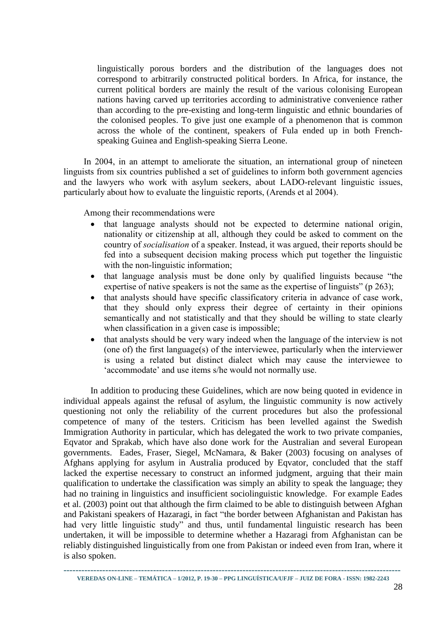linguistically porous borders and the distribution of the languages does not correspond to arbitrarily constructed political borders. In Africa, for instance, the current political borders are mainly the result of the various colonising European nations having carved up territories according to administrative convenience rather than according to the pre-existing and long-term linguistic and ethnic boundaries of the colonised peoples. To give just one example of a phenomenon that is common across the whole of the continent, speakers of Fula ended up in both Frenchspeaking Guinea and English-speaking Sierra Leone.

In 2004, in an attempt to ameliorate the situation, an international group of nineteen linguists from six countries published a set of guidelines to inform both government agencies and the lawyers who work with asylum seekers, about LADO-relevant linguistic issues, particularly about how to evaluate the linguistic reports, (Arends et al 2004).

Among their recommendations were

- that language analysts should not be expected to determine national origin, nationality or citizenship at all, although they could be asked to comment on the country of *socialisation* of a speaker. Instead, it was argued, their reports should be fed into a subsequent decision making process which put together the linguistic with the non-linguistic information;
- that language analysis must be done only by qualified linguists because "the expertise of native speakers is not the same as the expertise of linguists" (p 263);
- that analysts should have specific classificatory criteria in advance of case work, that they should only express their degree of certainty in their opinions semantically and not statistically and that they should be willing to state clearly when classification in a given case is impossible;
- that analysts should be very wary indeed when the language of the interview is not (one of) the first language(s) of the interviewee, particularly when the interviewer is using a related but distinct dialect which may cause the interviewee to 'accommodate' and use items s/he would not normally use.

In addition to producing these Guidelines, which are now being quoted in evidence in individual appeals against the refusal of asylum, the linguistic community is now actively questioning not only the reliability of the current procedures but also the professional competence of many of the testers. Criticism has been levelled against the Swedish Immigration Authority in particular, which has delegated the work to two private companies, Eqvator and Sprakab, which have also done work for the Australian and several European governments. Eades, Fraser, Siegel, McNamara, & Baker (2003) focusing on analyses of Afghans applying for asylum in Australia produced by Eqvator, concluded that the staff lacked the expertise necessary to construct an informed judgment, arguing that their main qualification to undertake the classification was simply an ability to speak the language; they had no training in linguistics and insufficient sociolinguistic knowledge. For example Eades et al. (2003) point out that although the firm claimed to be able to distinguish between Afghan and Pakistani speakers of Hazaragi, in fact "the border between Afghanistan and Pakistan has had very little linguistic study" and thus, until fundamental linguistic research has been undertaken, it will be impossible to determine whether a Hazaragi from Afghanistan can be reliably distinguished linguistically from one from Pakistan or indeed even from Iran, where it is also spoken.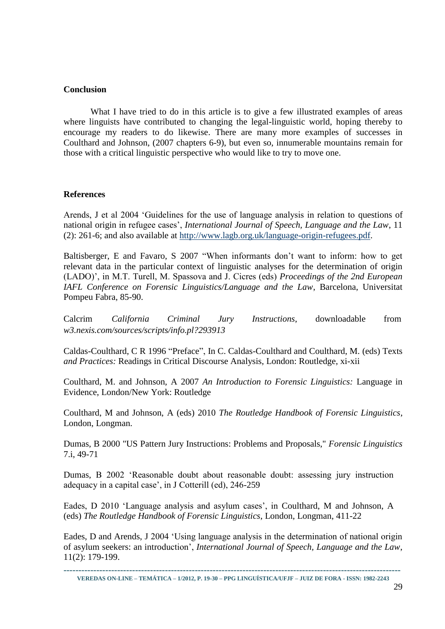## **Conclusion**

What I have tried to do in this article is to give a few illustrated examples of areas where linguists have contributed to changing the legal-linguistic world, hoping thereby to encourage my readers to do likewise. There are many more examples of successes in Coulthard and Johnson, (2007 chapters 6-9), but even so, innumerable mountains remain for those with a critical linguistic perspective who would like to try to move one.

## **References**

Arends, J et al 2004 'Guidelines for the use of language analysis in relation to questions of national origin in refugee cases', *International Journal of Speech, Language and the Law*, 11 (2): 261-6; and also available at [http://www.lagb.org.uk/language-origin-refugees.pdf.](http://www.lagb.org.uk/language-origin-refugees.pdf)

Baltisberger, E and Favaro, S 2007 "When informants don't want to inform: how to get relevant data in the particular context of linguistic analyses for the determination of origin (LADO)', in M.T. Turell, M. Spassova and J. Cicres (eds) *Proceedings of the 2nd European IAFL Conference on Forensic Linguistics/Language and the Law*, Barcelona, Universitat Pompeu Fabra, 85-90.

Calcrim *California Criminal Jury Instructions*, downloadable from *w3.nexis.com/sources/scripts/info.pl?293913*

Caldas-Coulthard, C R 1996 "Preface", In C. Caldas-Coulthard and Coulthard, M. (eds) Texts *and Practices:* Readings in Critical Discourse Analysis, London: Routledge, xi-xii

Coulthard, M. and Johnson, A 2007 *An Introduction to Forensic Linguistics:* Language in Evidence, London/New York: Routledge

Coulthard, M and Johnson, A (eds) 2010 *The Routledge Handbook of Forensic Linguistics*, London, Longman.

Dumas, B 2000 "US Pattern Jury Instructions: Problems and Proposals," *Forensic Linguistics*  7.i, 49-71

Dumas, B 2002 'Reasonable doubt about reasonable doubt: assessing jury instruction adequacy in a capital case', in J Cotterill (ed), 246-259

Eades, D 2010 'Language analysis and asylum cases', in Coulthard, M and Johnson, A (eds) *The Routledge Handbook of Forensic Linguistics*, London, Longman, 411-22

Eades, D and Arends, J 2004 'Using language analysis in the determination of national origin of asylum seekers: an introduction', *International Journal of Speech, Language and the Law*, 11(2): 179-199.

**----------------------------------------------------------------------------------------------------------------- VEREDAS ON-LINE – TEMÁTICA – 1/2012, P. 19-30 – PPG LINGUÍSTICA/UFJF – JUIZ DE FORA - ISSN: 1982-2243**